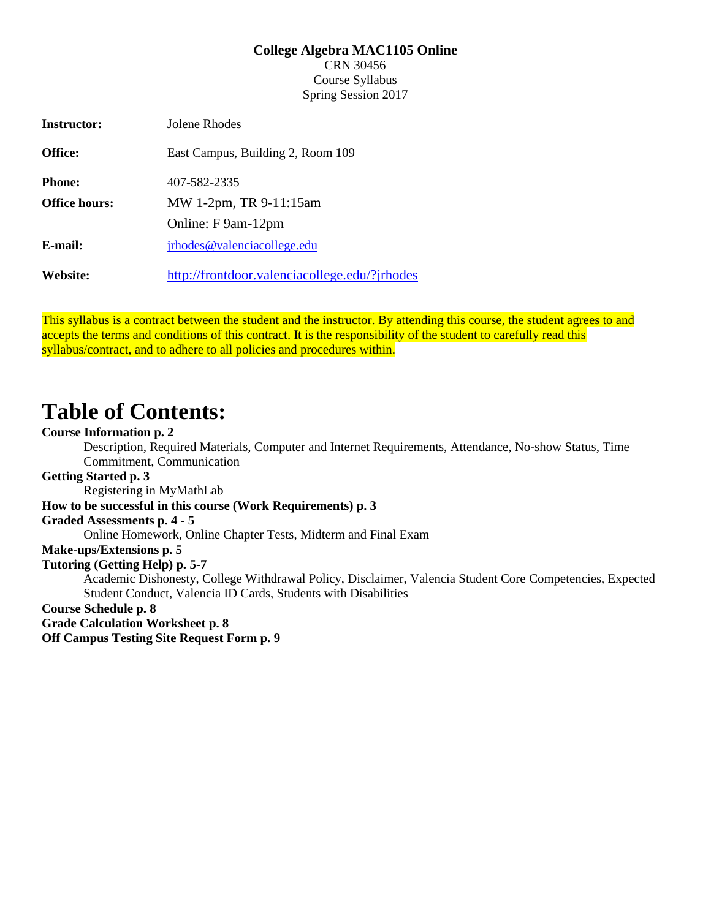#### **College Algebra MAC1105 Online**

CRN 30456 Course Syllabus Spring Session 2017

| <b>Instructor:</b>   | Jolene Rhodes                                 |
|----------------------|-----------------------------------------------|
| Office:              | East Campus, Building 2, Room 109             |
| <b>Phone:</b>        | 407-582-2335                                  |
| <b>Office hours:</b> | MW 1-2pm, TR 9-11:15am                        |
|                      | Online: F 9am-12pm                            |
| E-mail:              | irhodes@valenciacollege.edu                   |
| Website:             | http://frontdoor.valenciacollege.edu/?jrhodes |

This syllabus is a contract between the student and the instructor. By attending this course, the student agrees to and accepts the terms and conditions of this contract. It is the responsibility of the student to carefully read this syllabus/contract, and to adhere to all policies and procedures within.

# **Table of Contents:**

# **Course Information p. 2**

Description, Required Materials, Computer and Internet Requirements, Attendance, No-show Status, Time Commitment, Communication

## **Getting Started p. 3**

Registering in MyMathLab

# **How to be successful in this course (Work Requirements) p. 3**

# **Graded Assessments p. 4 - 5**

Online Homework, Online Chapter Tests, Midterm and Final Exam

# **Make-ups/Extensions p. 5**

#### **Tutoring (Getting Help) p. 5-7**

Academic Dishonesty, College Withdrawal Policy, Disclaimer, Valencia Student Core Competencies, Expected Student Conduct, Valencia ID Cards, Students with Disabilities

# **Course Schedule p. 8**

**Grade Calculation Worksheet p. 8**

**Off Campus Testing Site Request Form p. 9**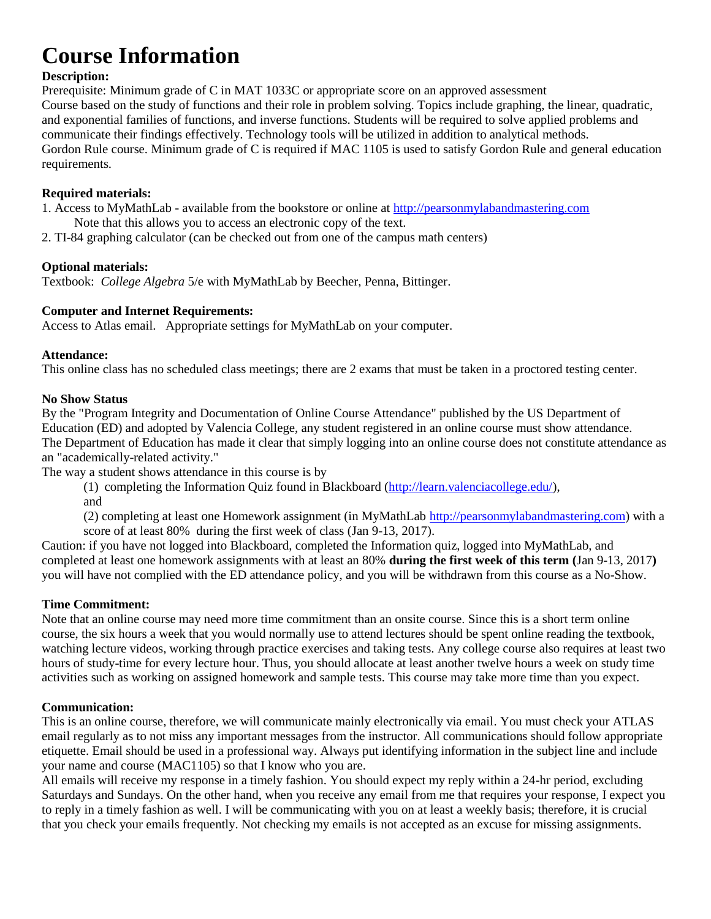# **Course Information**

# **Description:**

Prerequisite: Minimum grade of C in MAT 1033C or appropriate score on an approved assessment Course based on the study of functions and their role in problem solving. Topics include graphing, the linear, quadratic, and exponential families of functions, and inverse functions. Students will be required to solve applied problems and communicate their findings effectively. Technology tools will be utilized in addition to analytical methods. Gordon Rule course. Minimum grade of C is required if MAC 1105 is used to satisfy Gordon Rule and general education requirements.

# **Required materials:**

1. Access to MyMathLab - available from the bookstore or online a[t http://pearsonmylabandmastering.com](http://pearsonmylabandmastering.com/)

- Note that this allows you to access an electronic copy of the text.
- 2. TI-84 graphing calculator (can be checked out from one of the campus math centers)

# **Optional materials:**

Textbook: *College Algebra* 5/e with MyMathLab by Beecher, Penna, Bittinger.

# **Computer and Internet Requirements:**

Access to Atlas email. Appropriate settings for MyMathLab on your computer.

# **Attendance:**

This online class has no scheduled class meetings; there are 2 exams that must be taken in a proctored testing center.

# **No Show Status**

By the "Program Integrity and Documentation of Online Course Attendance" published by the US Department of Education (ED) and adopted by Valencia College, any student registered in an online course must show attendance. The Department of Education has made it clear that simply logging into an online course does not constitute attendance as an "academically-related activity."

The way a student shows attendance in this course is by

(1) completing the Information Quiz found in Blackboard [\(http://learn.valenciacollege.edu/\)](http://learn.valenciacollege.edu/), and

(2) completing at least one Homework assignment (in MyMathLab [http://pearsonmylabandmastering.com\)](http://pearsonmylabandmastering.com/) with a score of at least 80% during the first week of class (Jan 9-13, 2017).

Caution: if you have not logged into Blackboard, completed the Information quiz, logged into MyMathLab, and completed at least one homework assignments with at least an 80% **during the first week of this term (**Jan 9-13, 2017**)** you will have not complied with the ED attendance policy, and you will be withdrawn from this course as a No-Show.

# **Time Commitment:**

Note that an online course may need more time commitment than an onsite course. Since this is a short term online course, the six hours a week that you would normally use to attend lectures should be spent online reading the textbook, watching lecture videos, working through practice exercises and taking tests. Any college course also requires at least two hours of study-time for every lecture hour. Thus, you should allocate at least another twelve hours a week on study time activities such as working on assigned homework and sample tests. This course may take more time than you expect.

# **Communication:**

This is an online course, therefore, we will communicate mainly electronically via email. You must check your ATLAS email regularly as to not miss any important messages from the instructor. All communications should follow appropriate etiquette. Email should be used in a professional way. Always put identifying information in the subject line and include your name and course (MAC1105) so that I know who you are.

All emails will receive my response in a timely fashion. You should expect my reply within a 24-hr period, excluding Saturdays and Sundays. On the other hand, when you receive any email from me that requires your response, I expect you to reply in a timely fashion as well. I will be communicating with you on at least a weekly basis; therefore, it is crucial that you check your emails frequently. Not checking my emails is not accepted as an excuse for missing assignments.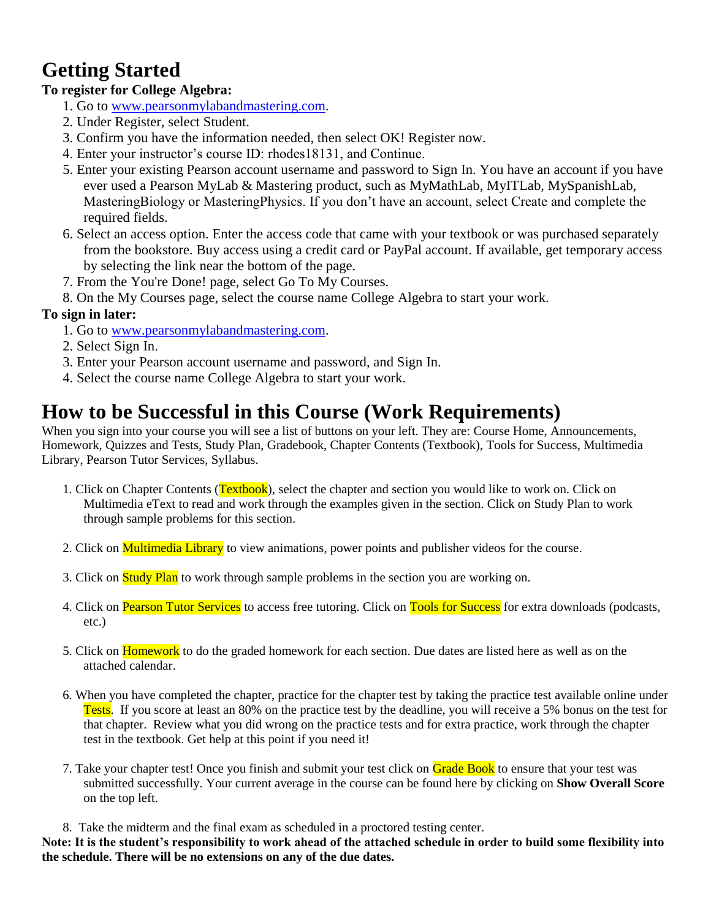# **Getting Started**

# **To register for College Algebra:**

- 1. Go to [www.pearsonmylabandmastering.com.](http://www.pearsonmylabandmastering.com/)
- 2. Under Register, select Student.
- 3. Confirm you have the information needed, then select OK! Register now.
- 4. Enter your instructor's course ID: rhodes18131, and Continue.
- 5. Enter your existing Pearson account username and password to Sign In. You have an account if you have ever used a Pearson MyLab & Mastering product, such as MyMathLab, MyITLab, MySpanishLab, MasteringBiology or MasteringPhysics. If you don't have an account, select Create and complete the required fields.
- 6. Select an access option. Enter the access code that came with your textbook or was purchased separately from the bookstore. Buy access using a credit card or PayPal account. If available, get temporary access by selecting the link near the bottom of the page.
- 7. From the You're Done! page, select Go To My Courses.
- 8. On the My Courses page, select the course name College Algebra to start your work.

# **To sign in later:**

- 1. Go to [www.pearsonmylabandmastering.com.](http://www.pearsonmylabandmastering.com/)
- 2. Select Sign In.
- 3. Enter your Pearson account username and password, and Sign In.
- 4. Select the course name College Algebra to start your work.

# **How to be Successful in this Course (Work Requirements)**

When you sign into your course you will see a list of buttons on your left. They are: Course Home, Announcements, Homework, Quizzes and Tests, Study Plan, Gradebook, Chapter Contents (Textbook), Tools for Success, Multimedia Library, Pearson Tutor Services, Syllabus.

- 1. Click on Chapter Contents (Textbook), select the chapter and section you would like to work on. Click on Multimedia eText to read and work through the examples given in the section. Click on Study Plan to work through sample problems for this section.
- 2. Click on **Multimedia Library** to view animations, power points and publisher videos for the course.
- 3. Click on **Study Plan** to work through sample problems in the section you are working on.
- 4. Click on Pearson Tutor Services to access free tutoring. Click on Tools for Success for extra downloads (podcasts, etc.)
- 5. Click on Homework to do the graded homework for each section. Due dates are listed here as well as on the attached calendar.
- 6. When you have completed the chapter, practice for the chapter test by taking the practice test available online under Tests. If you score at least an 80% on the practice test by the deadline, you will receive a 5% bonus on the test for that chapter. Review what you did wrong on the practice tests and for extra practice, work through the chapter test in the textbook. Get help at this point if you need it!
- 7. Take your chapter test! Once you finish and submit your test click on Grade Book to ensure that your test was submitted successfully. Your current average in the course can be found here by clicking on **Show Overall Score**  on the top left.

8. Take the midterm and the final exam as scheduled in a proctored testing center.

**Note: It is the student's responsibility to work ahead of the attached schedule in order to build some flexibility into the schedule. There will be no extensions on any of the due dates.**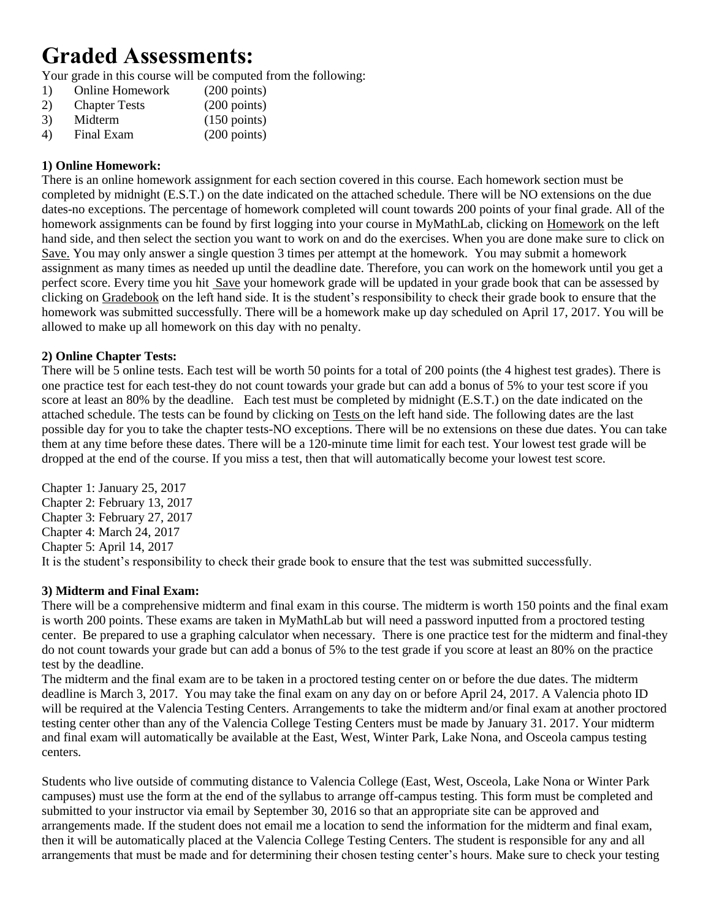# **Graded Assessments:**

Your grade in this course will be computed from the following:

- 1) Online Homework (200 points) 2) Chapter Tests (200 points)
- 3) Midterm (150 points)
- 4) Final Exam (200 points)

# **1) Online Homework:**

There is an online homework assignment for each section covered in this course. Each homework section must be completed by midnight (E.S.T.) on the date indicated on the attached schedule. There will be NO extensions on the due dates-no exceptions. The percentage of homework completed will count towards 200 points of your final grade. All of the homework assignments can be found by first logging into your course in MyMathLab, clicking on Homework on the left hand side, and then select the section you want to work on and do the exercises. When you are done make sure to click on Save. You may only answer a single question 3 times per attempt at the homework. You may submit a homework assignment as many times as needed up until the deadline date. Therefore, you can work on the homework until you get a perfect score. Every time you hit Save your homework grade will be updated in your grade book that can be assessed by clicking on Gradebook on the left hand side. It is the student's responsibility to check their grade book to ensure that the homework was submitted successfully. There will be a homework make up day scheduled on April 17, 2017. You will be allowed to make up all homework on this day with no penalty.

# **2) Online Chapter Tests:**

There will be 5 online tests. Each test will be worth 50 points for a total of 200 points (the 4 highest test grades). There is one practice test for each test-they do not count towards your grade but can add a bonus of 5% to your test score if you score at least an 80% by the deadline. Each test must be completed by midnight (E.S.T.) on the date indicated on the attached schedule. The tests can be found by clicking on Tests on the left hand side. The following dates are the last possible day for you to take the chapter tests-NO exceptions. There will be no extensions on these due dates. You can take them at any time before these dates. There will be a 120-minute time limit for each test. Your lowest test grade will be dropped at the end of the course. If you miss a test, then that will automatically become your lowest test score.

Chapter 1: January 25, 2017 Chapter 2: February 13, 2017 Chapter 3: February 27, 2017 Chapter 4: March 24, 2017 Chapter 5: April 14, 2017 It is the student's responsibility to check their grade book to ensure that the test was submitted successfully.

# **3) Midterm and Final Exam:**

There will be a comprehensive midterm and final exam in this course. The midterm is worth 150 points and the final exam is worth 200 points. These exams are taken in MyMathLab but will need a password inputted from a proctored testing center. Be prepared to use a graphing calculator when necessary. There is one practice test for the midterm and final-they do not count towards your grade but can add a bonus of 5% to the test grade if you score at least an 80% on the practice test by the deadline.

The midterm and the final exam are to be taken in a proctored testing center on or before the due dates. The midterm deadline is March 3, 2017. You may take the final exam on any day on or before April 24, 2017. A Valencia photo ID will be required at the Valencia Testing Centers. Arrangements to take the midterm and/or final exam at another proctored testing center other than any of the Valencia College Testing Centers must be made by January 31. 2017. Your midterm and final exam will automatically be available at the East, West, Winter Park, Lake Nona, and Osceola campus testing centers.

Students who live outside of commuting distance to Valencia College (East, West, Osceola, Lake Nona or Winter Park campuses) must use the form at the end of the syllabus to arrange off-campus testing. This form must be completed and submitted to your instructor via email by September 30, 2016 so that an appropriate site can be approved and arrangements made. If the student does not email me a location to send the information for the midterm and final exam, then it will be automatically placed at the Valencia College Testing Centers. The student is responsible for any and all arrangements that must be made and for determining their chosen testing center's hours. Make sure to check your testing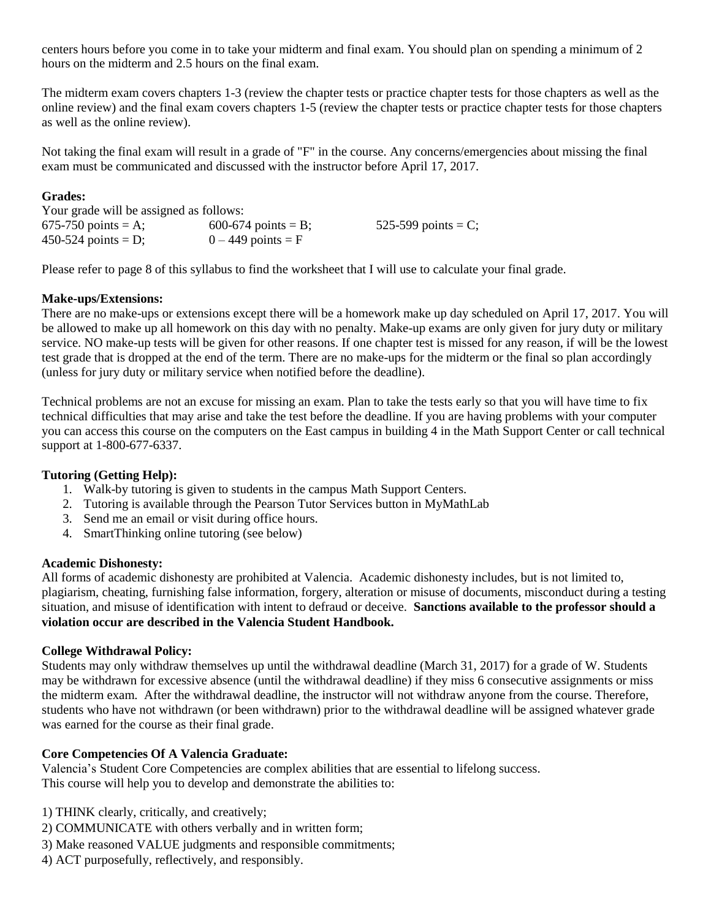centers hours before you come in to take your midterm and final exam. You should plan on spending a minimum of 2 hours on the midterm and 2.5 hours on the final exam.

The midterm exam covers chapters 1-3 (review the chapter tests or practice chapter tests for those chapters as well as the online review) and the final exam covers chapters 1-5 (review the chapter tests or practice chapter tests for those chapters as well as the online review).

Not taking the final exam will result in a grade of "F" in the course. Any concerns/emergencies about missing the final exam must be communicated and discussed with the instructor before April 17, 2017.

### **Grades:**

| Your grade will be assigned as follows: |                     |                        |  |
|-----------------------------------------|---------------------|------------------------|--|
| 675-750 points = A;                     | 600-674 points = B; | 525-599 points = $C$ ; |  |
| 450-524 points = D;                     | $0-449$ points = F  |                        |  |

Please refer to page 8 of this syllabus to find the worksheet that I will use to calculate your final grade.

# **Make-ups/Extensions:**

There are no make-ups or extensions except there will be a homework make up day scheduled on April 17, 2017. You will be allowed to make up all homework on this day with no penalty. Make-up exams are only given for jury duty or military service. NO make-up tests will be given for other reasons. If one chapter test is missed for any reason, if will be the lowest test grade that is dropped at the end of the term. There are no make-ups for the midterm or the final so plan accordingly (unless for jury duty or military service when notified before the deadline).

Technical problems are not an excuse for missing an exam. Plan to take the tests early so that you will have time to fix technical difficulties that may arise and take the test before the deadline. If you are having problems with your computer you can access this course on the computers on the East campus in building 4 in the Math Support Center or call technical support at 1-800-677-6337.

# **Tutoring (Getting Help):**

- 1. Walk-by tutoring is given to students in the campus Math Support Centers.
- 2. Tutoring is available through the Pearson Tutor Services button in MyMathLab
- 3. Send me an email or visit during office hours.
- 4. SmartThinking online tutoring (see below)

#### **Academic Dishonesty:**

All forms of academic dishonesty are prohibited at Valencia. Academic dishonesty includes, but is not limited to, plagiarism, cheating, furnishing false information, forgery, alteration or misuse of documents, misconduct during a testing situation, and misuse of identification with intent to defraud or deceive. **Sanctions available to the professor should a violation occur are described in the Valencia Student Handbook.**

#### **College Withdrawal Policy:**

Students may only withdraw themselves up until the withdrawal deadline (March 31, 2017) for a grade of W. Students may be withdrawn for excessive absence (until the withdrawal deadline) if they miss 6 consecutive assignments or miss the midterm exam. After the withdrawal deadline, the instructor will not withdraw anyone from the course. Therefore, students who have not withdrawn (or been withdrawn) prior to the withdrawal deadline will be assigned whatever grade was earned for the course as their final grade.

#### **Core Competencies Of A Valencia Graduate:**

Valencia's Student Core Competencies are complex abilities that are essential to lifelong success. This course will help you to develop and demonstrate the abilities to:

- 1) THINK clearly, critically, and creatively;
- 2) COMMUNICATE with others verbally and in written form;
- 3) Make reasoned VALUE judgments and responsible commitments;
- 4) ACT purposefully, reflectively, and responsibly.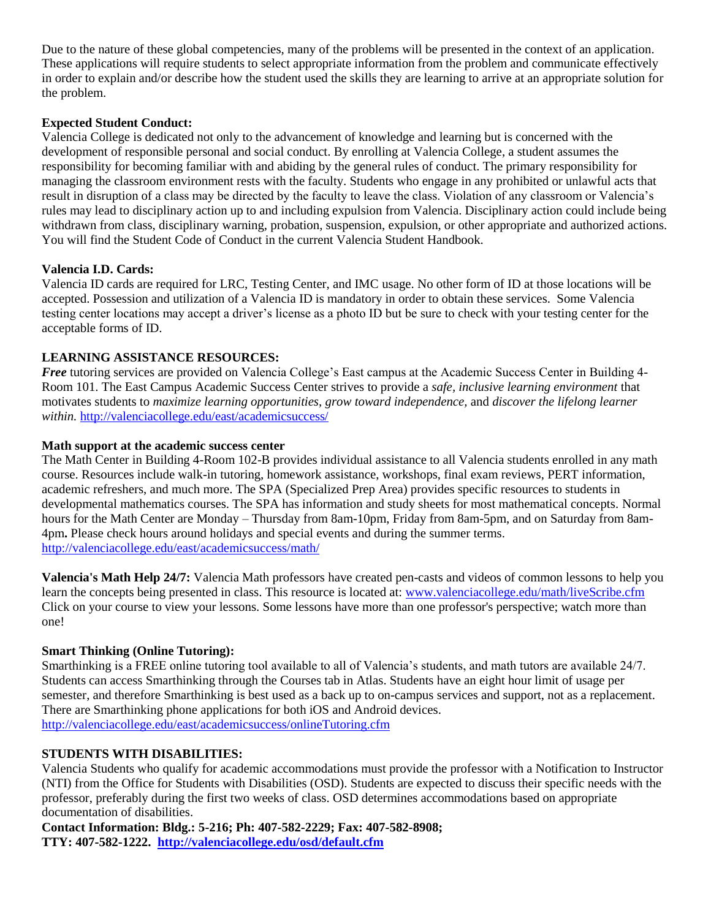Due to the nature of these global competencies, many of the problems will be presented in the context of an application. These applications will require students to select appropriate information from the problem and communicate effectively in order to explain and/or describe how the student used the skills they are learning to arrive at an appropriate solution for the problem.

# **Expected Student Conduct:**

Valencia College is dedicated not only to the advancement of knowledge and learning but is concerned with the development of responsible personal and social conduct. By enrolling at Valencia College, a student assumes the responsibility for becoming familiar with and abiding by the general rules of conduct. The primary responsibility for managing the classroom environment rests with the faculty. Students who engage in any prohibited or unlawful acts that result in disruption of a class may be directed by the faculty to leave the class. Violation of any classroom or Valencia's rules may lead to disciplinary action up to and including expulsion from Valencia. Disciplinary action could include being withdrawn from class, disciplinary warning, probation, suspension, expulsion, or other appropriate and authorized actions. You will find the Student Code of Conduct in the current Valencia Student Handbook.

#### **Valencia I.D. Cards:**

Valencia ID cards are required for LRC, Testing Center, and IMC usage. No other form of ID at those locations will be accepted. Possession and utilization of a Valencia ID is mandatory in order to obtain these services. Some Valencia testing center locations may accept a driver's license as a photo ID but be sure to check with your testing center for the acceptable forms of ID.

# **LEARNING ASSISTANCE RESOURCES:**

*Free* tutoring services are provided on Valencia College's East campus at the Academic Success Center in Building 4-Room 101. The East Campus Academic Success Center strives to provide a *safe, inclusive learning environment* that motivates students to *maximize learning opportunities, grow toward independence,* and *discover the lifelong learner within.* <http://valenciacollege.edu/east/academicsuccess/>

#### **Math support at the academic success center**

The Math Center in Building 4-Room 102-B provides individual assistance to all Valencia students enrolled in any math course. Resources include walk-in tutoring, homework assistance, workshops, final exam reviews, PERT information, academic refreshers, and much more. The SPA (Specialized Prep Area) provides specific resources to students in developmental mathematics courses. The SPA has information and study sheets for most mathematical concepts. Normal hours for the Math Center are Monday – Thursday from 8am-10pm, Friday from 8am-5pm, and on Saturday from 8am-4pm**.** Please check hours around holidays and special events and during the summer terms. <http://valenciacollege.edu/east/academicsuccess/math/>

**Valencia's Math Help 24/7:** Valencia Math professors have created pen-casts and videos of common lessons to help you learn the concepts being presented in class. This resource is located at: [www.valenciacollege.edu/math/liveScribe.cfm](http://www.valenciacollege.edu/math/liveScribe.cfm)  Click on your course to view your lessons. Some lessons have more than one professor's perspective; watch more than one!

# **Smart Thinking (Online Tutoring):**

Smarthinking is a FREE online tutoring tool available to all of Valencia's students, and math tutors are available 24/7. Students can access Smarthinking through the Courses tab in Atlas. Students have an eight hour limit of usage per semester, and therefore Smarthinking is best used as a back up to on-campus services and support, not as a replacement. There are Smarthinking phone applications for both iOS and Android devices. <http://valenciacollege.edu/east/academicsuccess/onlineTutoring.cfm>

#### **STUDENTS WITH DISABILITIES:**

Valencia Students who qualify for academic accommodations must provide the professor with a Notification to Instructor (NTI) from the Office for Students with Disabilities (OSD). Students are expected to discuss their specific needs with the professor, preferably during the first two weeks of class. OSD determines accommodations based on appropriate documentation of disabilities.

**Contact Information: Bldg.: 5-216; Ph: 407-582-2229; Fax: 407-582-8908; TTY: 407-582-1222. <http://valenciacollege.edu/osd/default.cfm>**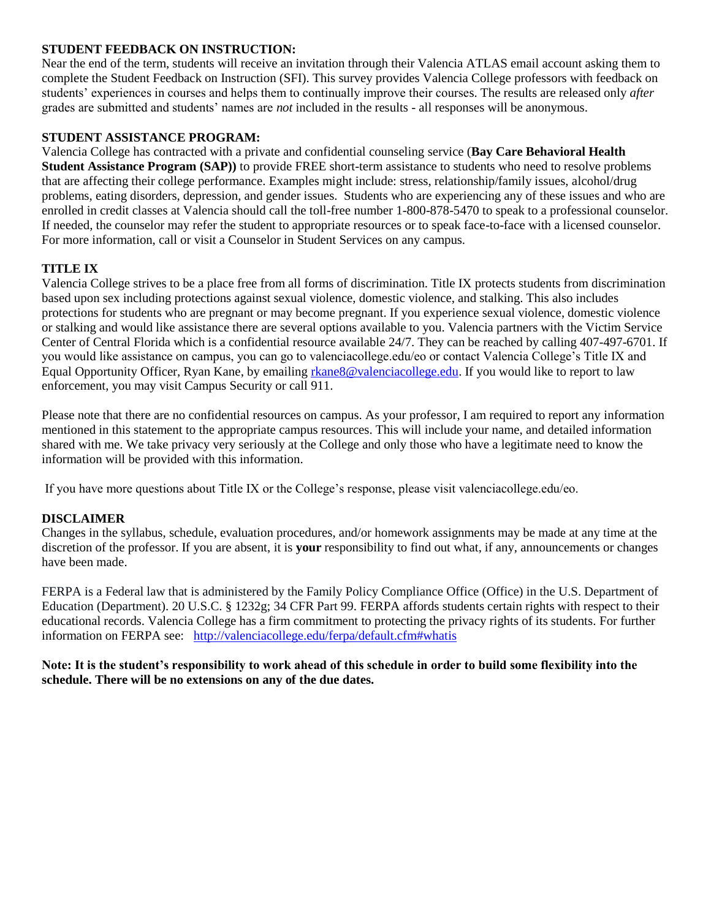#### **STUDENT FEEDBACK ON INSTRUCTION:**

Near the end of the term, students will receive an invitation through their Valencia ATLAS email account asking them to complete the Student Feedback on Instruction (SFI). This survey provides Valencia College professors with feedback on students' experiences in courses and helps them to continually improve their courses. The results are released only *after*  grades are submitted and students' names are *not* included in the results - all responses will be anonymous.

#### **STUDENT ASSISTANCE PROGRAM:**

Valencia College has contracted with a private and confidential counseling service (**Bay Care Behavioral Health Student Assistance Program (SAP))** to provide FREE short-term assistance to students who need to resolve problems that are affecting their college performance. Examples might include: stress, relationship/family issues, alcohol/drug problems, eating disorders, depression, and gender issues. Students who are experiencing any of these issues and who are enrolled in credit classes at Valencia should call the toll-free number 1-800-878-5470 to speak to a professional counselor. If needed, the counselor may refer the student to appropriate resources or to speak face-to-face with a licensed counselor. For more information, call or visit a Counselor in Student Services on any campus.

# **TITLE IX**

Valencia College strives to be a place free from all forms of discrimination. Title IX protects students from discrimination based upon sex including protections against sexual violence, domestic violence, and stalking. This also includes protections for students who are pregnant or may become pregnant. If you experience sexual violence, domestic violence or stalking and would like assistance there are several options available to you. Valencia partners with the Victim Service Center of Central Florida which is a confidential resource available 24/7. They can be reached by calling 407-497-6701. If you would like assistance on campus, you can go to valenciacollege.edu/eo or contact Valencia College's Title IX and Equal Opportunity Officer, Ryan Kane, by emailing [rkane8@valenciacollege.edu.](mailto:rkane8@valenciacollege.edu) If you would like to report to law enforcement, you may visit Campus Security or call 911.

Please note that there are no confidential resources on campus. As your professor, I am required to report any information mentioned in this statement to the appropriate campus resources. This will include your name, and detailed information shared with me. We take privacy very seriously at the College and only those who have a legitimate need to know the information will be provided with this information.

If you have more questions about Title IX or the College's response, please visit valenciacollege.edu/eo.

#### **DISCLAIMER**

Changes in the syllabus, schedule, evaluation procedures, and/or homework assignments may be made at any time at the discretion of the professor. If you are absent, it is **your** responsibility to find out what, if any, announcements or changes have been made.

FERPA is a Federal law that is administered by the Family Policy Compliance Office (Office) in the U.S. Department of Education (Department). 20 U.S.C. § 1232g; 34 CFR Part 99. FERPA affords students certain rights with respect to their educational records. Valencia College has a firm commitment to protecting the privacy rights of its students. For further information on FERPA see: <http://valenciacollege.edu/ferpa/default.cfm#whatis>

**Note: It is the student's responsibility to work ahead of this schedule in order to build some flexibility into the schedule. There will be no extensions on any of the due dates.**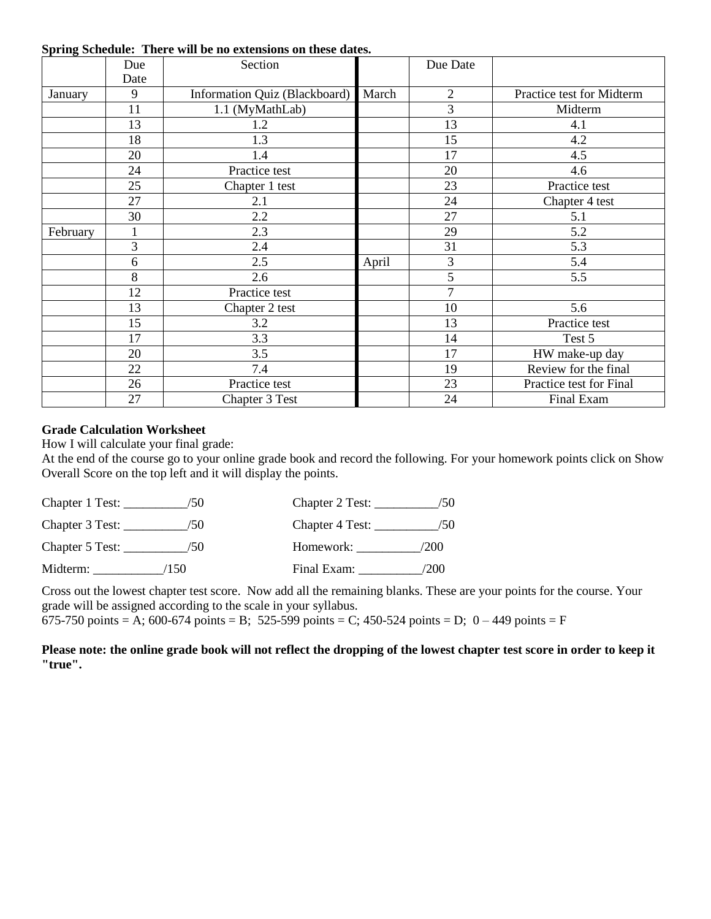|          | Due<br>Date | Section                       |       | Due Date       |                           |
|----------|-------------|-------------------------------|-------|----------------|---------------------------|
| January  | 9           | Information Quiz (Blackboard) | March | $\overline{2}$ | Practice test for Midterm |
|          | 11          | 1.1 (MyMathLab)               |       | $\overline{3}$ | Midterm                   |
|          | 13          | 1.2                           |       | 13             | 4.1                       |
|          | 18          | 1.3                           |       | 15             | 4.2                       |
|          | 20          | 1.4                           |       | 17             | 4.5                       |
|          | 24          | Practice test                 |       | 20             | 4.6                       |
|          | 25          | Chapter 1 test                |       | 23             | Practice test             |
|          | 27          | 2.1                           |       | 24             | Chapter 4 test            |
|          | 30          | 2.2                           |       | 27             | 5.1                       |
| February |             | 2.3                           |       | 29             | 5.2                       |
|          | 3           | 2.4                           |       | 31             | 5.3                       |
|          | 6           | 2.5                           | April | 3              | 5.4                       |
|          | 8           | 2.6                           |       | 5              | 5.5                       |
|          | 12          | Practice test                 |       | 7              |                           |
|          | 13          | Chapter 2 test                |       | 10             | 5.6                       |
|          | 15          | 3.2                           |       | 13             | Practice test             |
|          | 17          | 3.3                           |       | 14             | Test 5                    |
|          | 20          | 3.5                           |       | 17             | HW make-up day            |
|          | 22          | 7.4                           |       | 19             | Review for the final      |
|          | 26          | Practice test                 |       | 23             | Practice test for Final   |
|          | 27          | Chapter 3 Test                |       | 24             | Final Exam                |

#### **Spring Schedule: There will be no extensions on these dates.**

# **Grade Calculation Worksheet**

How I will calculate your final grade:

At the end of the course go to your online grade book and record the following. For your homework points click on Show Overall Score on the top left and it will display the points.

| Chapter 1 Test: $\overline{\phantom{a}}$ | /50   | Chapter 2 Test: | 50   |
|------------------------------------------|-------|-----------------|------|
| Chapter 3 Test: _                        | /50   | Chapter 4 Test: | /50  |
| Chapter 5 Test: $\_\_$                   | /50   | Homework:       | /200 |
| Midterm:                                 | (150) | Final Exam:     | /200 |

Cross out the lowest chapter test score. Now add all the remaining blanks. These are your points for the course. Your grade will be assigned according to the scale in your syllabus.

675-750 points = A; 600-674 points = B; 525-599 points = C; 450-524 points = D;  $0 - 449$  points = F

# **Please note: the online grade book will not reflect the dropping of the lowest chapter test score in order to keep it "true".**